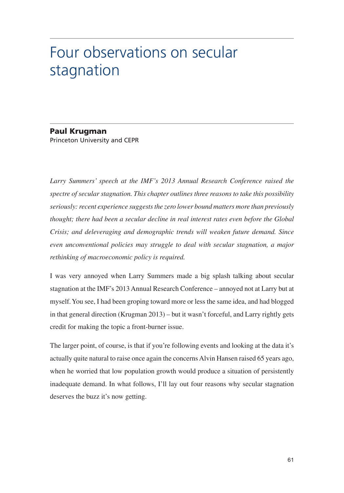# Four observations on secular stagnation

#### **Paul Krugman** Princeton University and CEPR

Larry Summers' speech at the IMF's 2013 Annual Research Conference raised the spectre of secular stagnation. This chapter outlines three reasons to take this possibility seriously: recent experience suggests the zero lower bound matters more than previously thought; there had been a secular decline in real interest rates even before the Global Crisis; and deleveraging and demographic trends will weaken future demand. Since even unconventional policies may struggle to deal with secular stagnation, a major rethinking of macroeconomic policy is required.

I was very annoyed when Larry Summers made a big splash talking about secular stagnation at the IMF's 2013 Annual Research Conference - annoyed not at Larry but at myself. You see, I had been groping toward more or less the same idea, and had blogged in that general direction (Krugman 2013) – but it wasn't forceful, and Larry rightly gets credit for making the topic a front-burner issue.

The larger point, of course, is that if you're following events and looking at the data it's actually quite natural to raise once again the concerns Alvin Hansen raised 65 years ago, when he worried that low population growth would produce a situation of persistently inadequate demand. In what follows, I'll lay out four reasons why secular stagnation deserves the buzz it's now getting.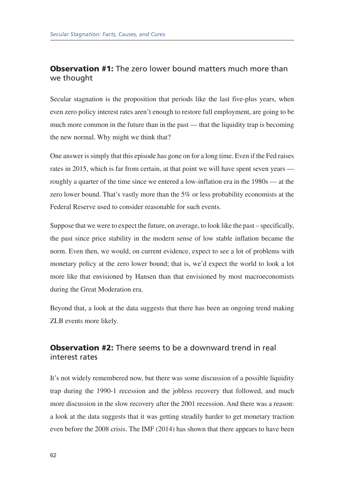# **Observation #1:** The zero lower bound matters much more than we thought

Secular stagnation is the proposition that periods like the last five-plus years, when even zero policy interest rates aren't enough to restore full employment, are going to be much more common in the future than in the past — that the liquidity trap is becoming the new normal. Why might we think that?

One answer is simply that this episode has gone on for a long time. Even if the Fed raises rates in 2015, which is far from certain, at that point we will have spent seven years roughly a quarter of the time since we entered a low-inflation era in the 1980s — at the zero lower bound. That's vastly more than the 5% or less probability economists at the Federal Reserve used to consider reasonable for such events.

Suppose that we were to expect the future, on average, to look like the past – specifically, the past since price stability in the modern sense of low stable inflation became the norm. Even then, we would, on current evidence, expect to see a lot of problems with monetary policy at the zero lower bound; that is, we'd expect the world to look a lot more like that envisioned by Hansen than that envisioned by most macroeconomists during the Great Moderation era.

Beyond that, a look at the data suggests that there has been an ongoing trend making ZLB events more likely.

# **Observation #2:** There seems to be a downward trend in real interest rates

It's not widely remembered now, but there was some discussion of a possible liquidity trap during the 1990-1 recession and the jobless recovery that followed, and much more discussion in the slow recovery after the 2001 recession. And there was a reason: a look at the data suggests that it was getting steadily harder to get monetary traction even before the 2008 crisis. The IMF (2014) has shown that there appears to have been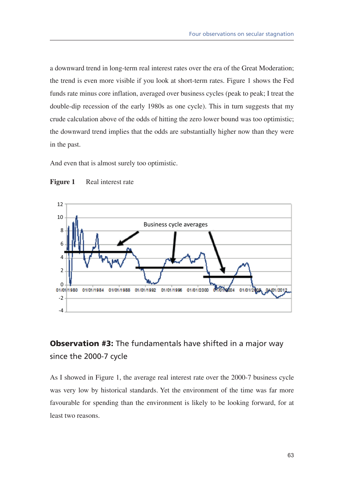a downward trend in long-term real interest rates over the era of the Great Moderation; the trend is even more visible if you look at short-term rates. Figure 1 shows the Fed funds rate minus core inflation, averaged over business cycles (peak to peak; I treat the double-dip recession of the early 1980s as one cycle). This in turn suggests that my crude calculation above of the odds of hitting the zero lower bound was too optimistic; the downward trend implies that the odds are substantially higher now than they were in the past.

And even that is almost surely too optimistic.





# **Observation #3:** The fundamentals have shifted in a major way since the 2000-7 cycle

As I showed in Figure 1, the average real interest rate over the 2000-7 business cycle was very low by historical standards. Yet the environment of the time was far more favourable for spending than the environment is likely to be looking forward, for at least two reasons.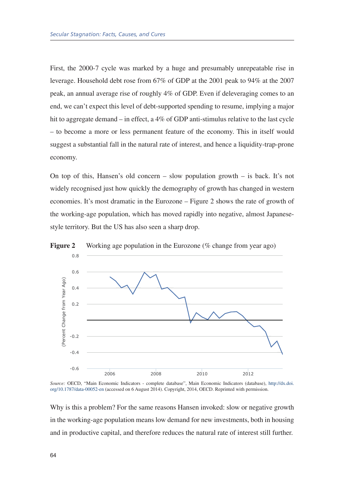First, the 2000-7 cycle was marked by a huge and presumably unrepeatable rise in leverage. Household debt rose from 67% of GDP at the 2001 peak to 94% at the 2007 peak, an annual average rise of roughly 4% of GDP. Even if deleveraging comes to an end, we can't expect this level of debt-supported spending to resume, implying a major hit to aggregate demand – in effect, a 4% of GDP anti-stimulus relative to the last cycle - to become a more or less permanent feature of the economy. This in itself would suggest a substantial fall in the natural rate of interest, and hence a liquidity-trap-prone economy.

On top of this, Hansen's old concern – slow population growth – is back. It's not widely recognised just how quickly the demography of growth has changed in western economies. It's most dramatic in the Eurozone – Figure 2 shows the rate of growth of the working-age population, which has moved rapidly into negative, almost Japanesestyle territory. But the US has also seen a sharp drop.



**Figure 2** Working age population in the Eurozone ( $%$  change from year ago)

Source: OECD, "Main Economic Indicators - complete database", Main Economic Indicators (database), http://dx.doi. org/10.1787/data-00052-en (accessed on 6 August 2014). Copyright, 2014, OECD. Reprinted with permission.

Why is this a problem? For the same reasons Hansen invoked: slow or negative growth in the working-age population means low demand for new investments, both in housing and in productive capital, and therefore reduces the natural rate of interest still further.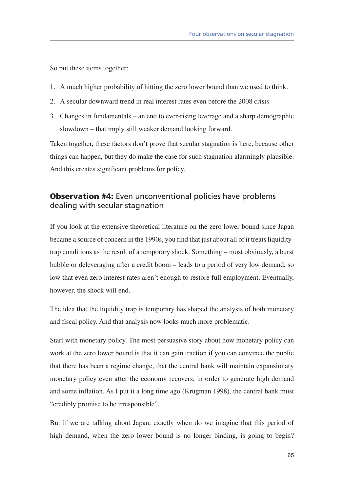So put these items together:

- 1. A much higher probability of hitting the zero lower bound than we used to think.
- 2. A secular downward trend in real interest rates even before the 2008 crisis.
- 3. Changes in fundamentals an end to ever-rising leverage and a sharp demographic slowdown – that imply still weaker demand looking forward.

Taken together, these factors don't prove that secular stagnation is here, because other things can happen, but they do make the case for such stagnation alarmingly plausible. And this creates significant problems for policy.

### **Observation #4:** Even unconventional policies have problems dealing with secular stagnation

If you look at the extensive theoretical literature on the zero lower bound since Japan became a source of concern in the 1990s, you find that just about all of it treats liquiditytrap conditions as the result of a temporary shock. Something – most obviously, a burst bubble or deleveraging after a credit boom – leads to a period of very low demand, so low that even zero interest rates aren't enough to restore full employment. Eventually, however, the shock will end.

The idea that the liquidity trap is temporary has shaped the analysis of both monetary and fiscal policy. And that analysis now looks much more problematic.

Start with monetary policy. The most persuasive story about how monetary policy can work at the zero lower bound is that it can gain traction if you can convince the public that there has been a regime change, that the central bank will maintain expansionary monetary policy even after the economy recovers, in order to generate high demand and some inflation. As I put it a long time ago (Krugman 1998), the central bank must "credibly promise to be irresponsible".

But if we are talking about Japan, exactly when do we imagine that this period of high demand, when the zero lower bound is no longer binding, is going to begin?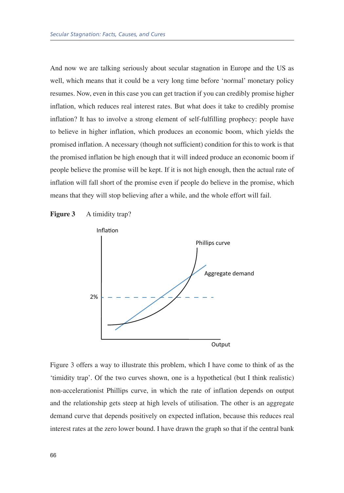And now we are talking seriously about secular stagnation in Europe and the US as well, which means that it could be a very long time before 'normal' monetary policy resumes. Now, even in this case you can get traction if you can credibly promise higher inflation, which reduces real interest rates. But what does it take to credibly promise inflation? It has to involve a strong element of self-fulfilling prophecy: people have to believe in higher inflation, which produces an economic boom, which yields the promised inflation. A necessary (though not sufficient) condition for this to work is that the promised inflation be high enough that it will indeed produce an economic boom if people believe the promise will be kept. If it is not high enough, then the actual rate of inflation will fall short of the promise even if people do believe in the promise, which means that they will stop believing after a while, and the whole effort will fail.





Figure 3 offers a way to illustrate this problem, which I have come to think of as the 'timidity trap'. Of the two curves shown, one is a hypothetical (but I think realistic) non-accelerationist Phillips curve, in which the rate of inflation depends on output and the relationship gets steep at high levels of utilisation. The other is an aggregate demand curve that depends positively on expected inflation, because this reduces real interest rates at the zero lower bound. I have drawn the graph so that if the central bank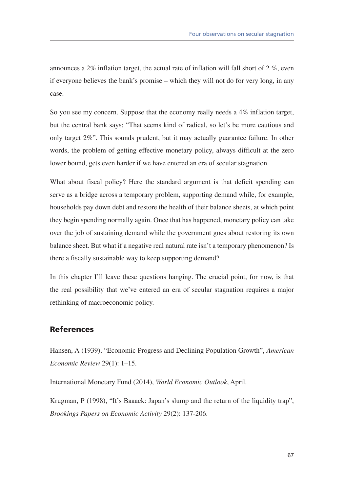announces a 2% inflation target, the actual rate of inflation will fall short of 2 %, even if everyone believes the bank's promise – which they will not do for very long, in any case.

So you see my concern. Suppose that the economy really needs a 4% inflation target, but the central bank says: "That seems kind of radical, so let's be more cautious and only target 2%". This sounds prudent, but it may actually guarantee failure. In other words, the problem of getting effective monetary policy, always difficult at the zero lower bound, gets even harder if we have entered an era of secular stagnation.

What about fiscal policy? Here the standard argument is that deficit spending can serve as a bridge across a temporary problem, supporting demand while, for example, households pay down debt and restore the health of their balance sheets, at which point they begin spending normally again. Once that has happened, monetary policy can take over the job of sustaining demand while the government goes about restoring its own balance sheet. But what if a negative real natural rate isn't a temporary phenomenon? Is there a fiscally sustainable way to keep supporting demand?

In this chapter I'll leave these questions hanging. The crucial point, for now, is that the real possibility that we've entered an era of secular stagnation requires a major rethinking of macroeconomic policy.

#### **References**

Hansen, A (1939), "Economic Progress and Declining Population Growth", American Economic Review 29(1): 1-15.

International Monetary Fund (2014), World Economic Outlook, April.

Krugman, P (1998), "It's Baaack: Japan's slump and the return of the liquidity trap", Brookings Papers on Economic Activity 29(2): 137-206.